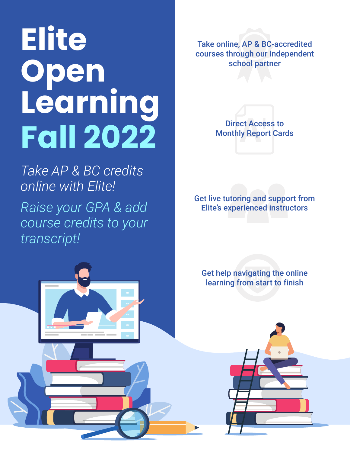# **Elite Open Learning Fall 2022**

*Take AP & BC credits online with Elite! Raise your GPA & add course credits to your transcript!*

Take online, AP & BC-accredited courses through our independent school partner



Get live tutoring and support from Elite's experienced instructors

Get help navigating the online learning from start to finish